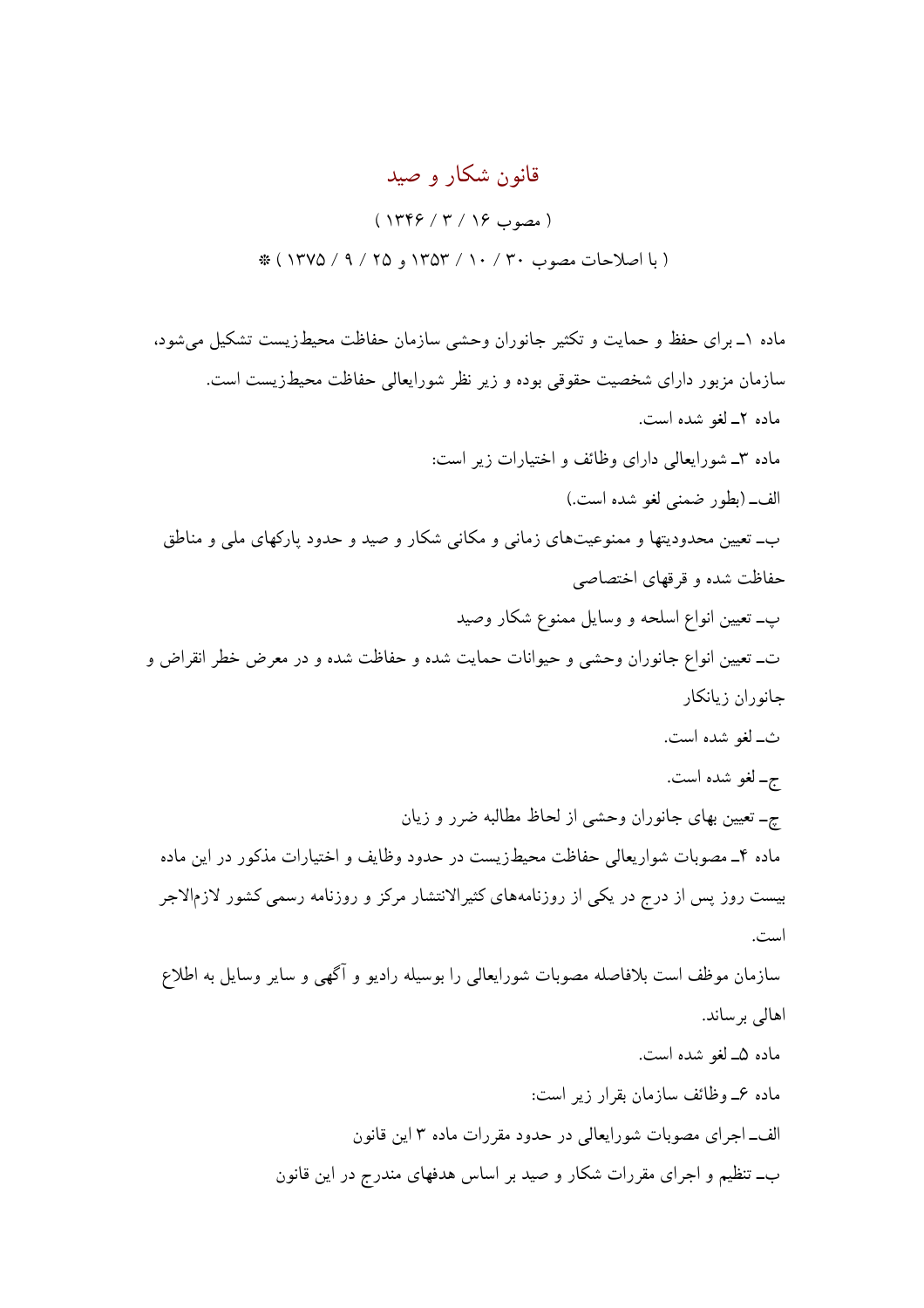## قانون شکار و صید

 $(1499 / 9 / 19)$ (با اصلاحات مصوب ۳۰ / ۱۰ / ۱۳۵۳ و ۲۵ / ۹ / ۱۳۷۵ \*

ماده ١ـ براي حفظ و حمايت و تكثير جانوران وحشى سازمان حفاظت محيطزيست تشكيل مى شود، سازمان مزبور داراي شخصيت حقوقي بوده و زير نظر شورايعالي حفاظت محيطزيست است. ماده ٢ـ لغو شده است. ماده ۳ـ شورايعالى داراي وظائف و اختيارات زير است: الف\_ (بطور ضمني لغو شده است.) ب\_ تعیین محدودیتها و ممنوعیتهای زمانی و مکانی شکار و صید و حدود پارکهای ملی و مناطق حفاظت شده و قرقهای اختصاصی پ۔ تعیین انواع اسلحه و وسایل ممنوع شکار وصید ت\_ تعیین انواع جانوران وحشی و حیوانات حمایت شده و حفاظت شده و در معرض خطر انقراض و جانوران زيانكار ث\_لغو شده است. ج۔ لغو شدہ است. چـ تعیین بهای جانوران وحشی از لحاظ مطالبه ضرر و زیان ماده ۴ـ مصوبات شواریعالی حفاظت محیطزیست در حدود وظایف و اختیارات مذکور در این ماده بیست روز پس از درج در یکی از روزنامههای کثیرالانتشار مرکز و روزنامه رسمی کشور لازمالاجر است. سازمان موظف است بلافاصله مصوبات شورايعالى را بوسيله راديو و آگهي و ساير وسايل به اطلاع اهالی برساند. ماده ۵ـ لغو شده است. ماده عمـ وظائف سازمان بقرار زیر است: الف\_اجراي مصوبات شورايعالي در حدود مقررات ماده ٣ اين قانون ب\_ تنظیم و اجرای مقررات شکار و صید بر اساس هدفهای مندرج در این قانون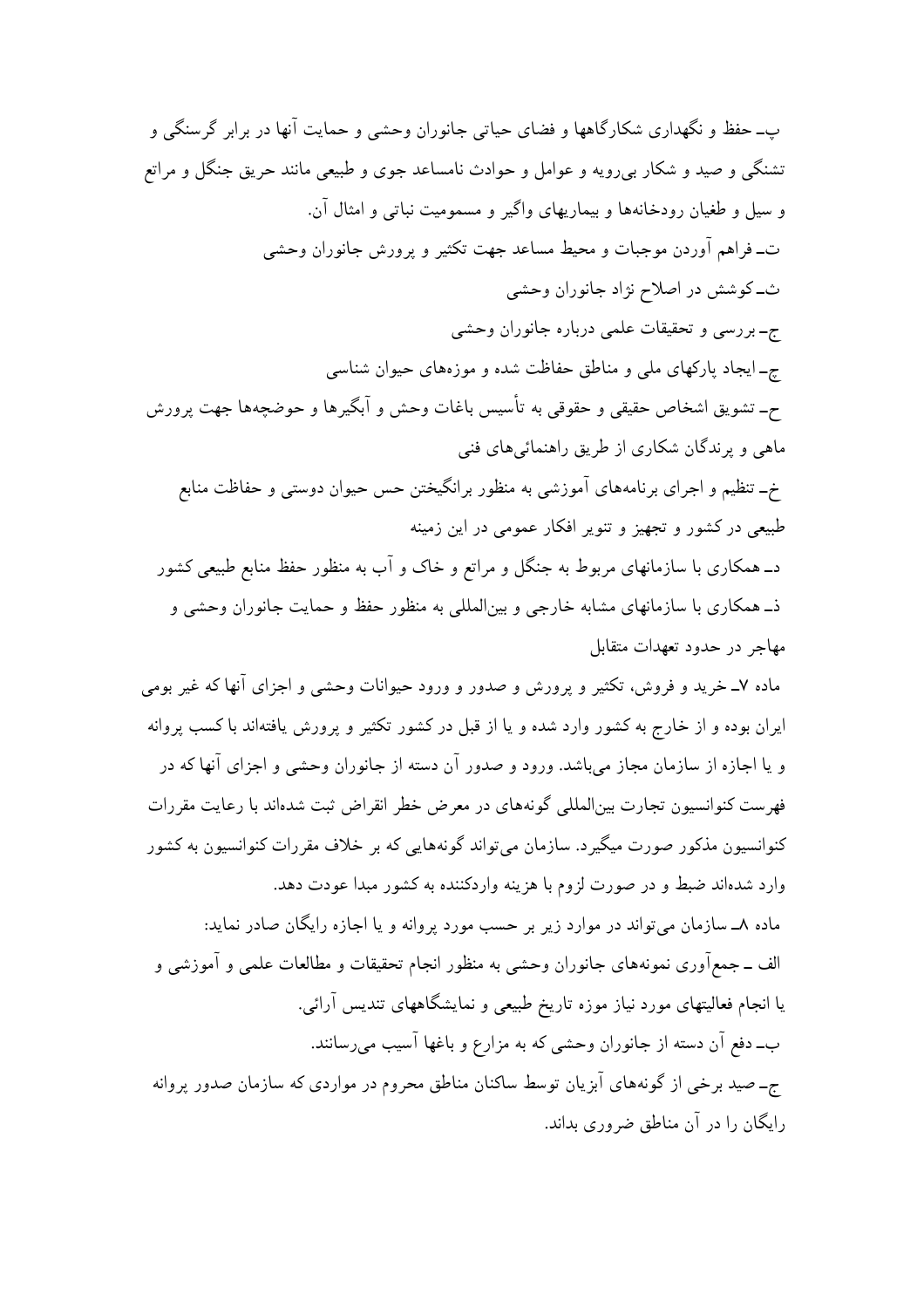ب۔حفظ و نگھداری شکارگاهها و فضای حیاتی جانوران وحشی و حمایت آنها در برابر گرسنگی و تشنگی و صید و شکار بیرویه و عوامل و حوادث نامساعد جوی و طبیعی مانند حریق جنگل و مراتع و سيل و طغيان رودخانهها و بيماريهاي واگير و مسموميت نباتي و امثال آن. ت۔فراہم آوردن موجبات و محیط مساعد جھت تکثیر و پرورش جانوران وحشی ث\_کوشش در اصلاح نژاد جانوران وحشی ج-بررسي و تحقيقات علمي درباره جانوران وحشي چـ ايجاد پاركهاي ملي و مناطق حفاظت شده و موزههاي حيوان شناسي ح- تشویق اشخاص حقیقی و حقوقی به تأسیس باغات وحش و آبگیرها و حوضچهها جهت پرورش ماهي و پرندگان شکاري از طريق راهنمائيهاي فني خ- تنظیم و اجرای برنامههای آموزشی به منظور برانگیختن حس حیوان دوستی و حفاظت منابع طبیعی در کشور و تجهیز و تنویر افکار عمومی در این زمینه د\_ همکاری با سازمانهای مربوط به جنگل و مراتع و خاک و آب به منظور حفظ منابع طبیعی کشور ذـ همکاری با سازمانهای مشابه خارجی و بین|لمللی به منظور حفظ و حمایت جانوران وحشی و مهاجر در حدود تعهدات متقابل ماده ۷ــ خرید و فروش، تکثیر و پرورش و صدور و ورود حیوانات وحشی و اجزای آنها که غیر بومی ایران بوده و از خارج به کشور وارد شده و یا از قبل در کشور تکثیر و پرورش یافتهاند با کسب پروانه و یا اجازه از سازمان مجاز میباشد. ورود و صدور آن دسته از جانوران وحشی و اجزای آنها که در فهرست کنوانسیون تجارت بینالمللی گونههای در معرض خطر انقراض ثبت شدهاند با رعایت مقررات کنوانسیون مذکور صورت میگیرد. سازمان می تواند گونههایی که بر خلاف مقررات کنوانسیون به کشور وارد شدهاند ضبط و در صورت لزوم با هزینه واردکننده به کشور مبدا عودت دهد. ماده ۸ــ سازمان می تواند در موارد زیر بر حسب مورد پروانه و یا اجازه رایگان صادر نماید: الف ــ جمع آوري نمونههاي جانوران وحشى به منظور انجام تحقيقات و مطالعات علمي و آموزشي و یا انجام فعالیتهای مورد نیاز موزه تاریخ طبیعی و نمایشگاههای تندیس آرائی. ب\_دفع آن دسته از جانوران وحشى كه به مزارع و باغها آسيب مىرسانند.

ج-صید برخی از گونههای آبزیان توسط ساکنان مناطق محروم در مواردی که سازمان صدور پروانه رایگان را در آن مناطق ضروری بداند.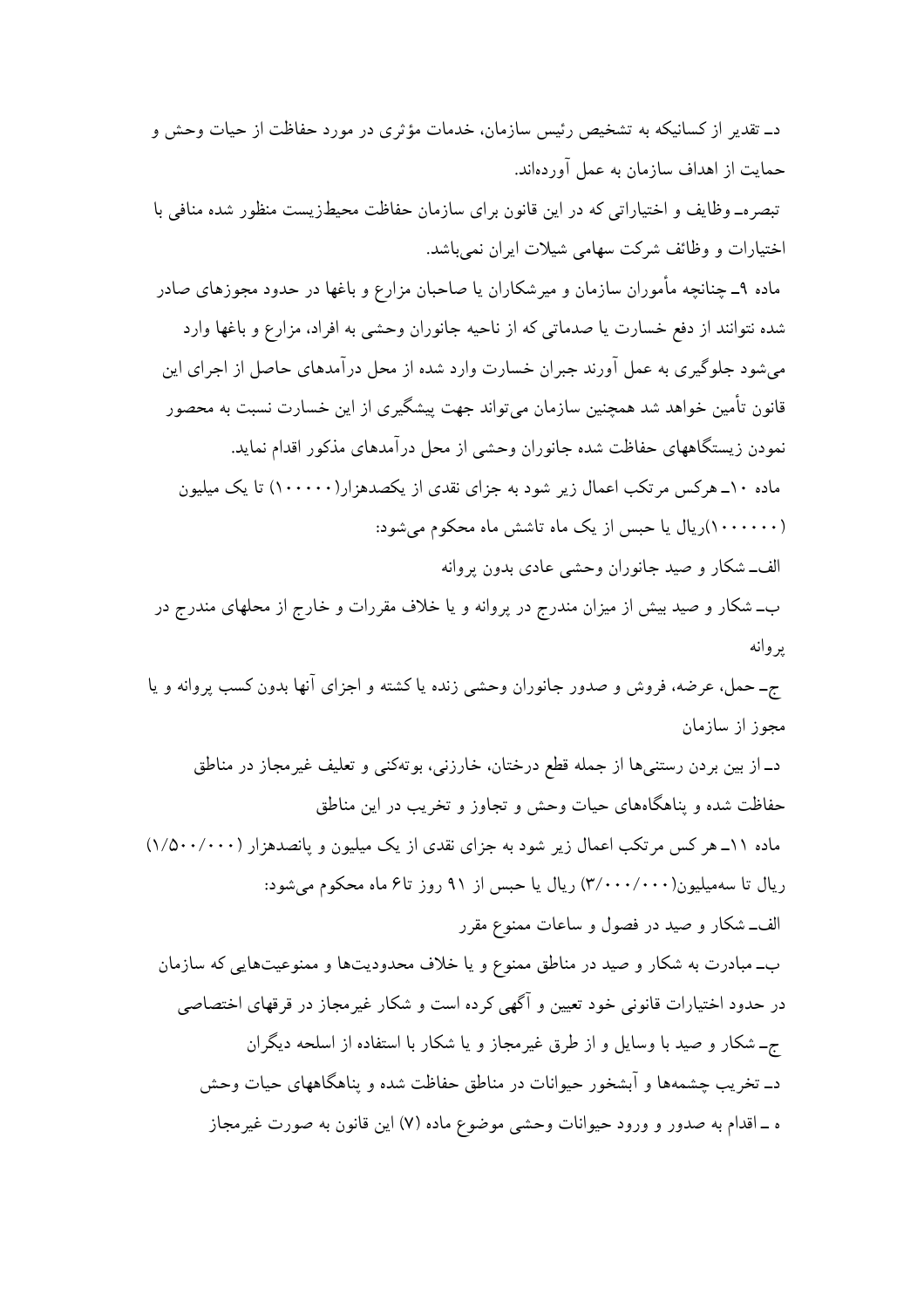د\_ تقدیر از کسانیکه به تشخیص رئیس سازمان، خدمات مؤثری در مورد حفاظت از حیات وحش و حمایت از اهداف سازمان به عمل آوردهاند. تبصره\_وظایف و اختیاراتی که در این قانون برای سازمان حفاظت محیطزیست منظور شده منافی با

اختیارات و وظائف شرکت سهامی شیلات ایران نمی باشد.

ماده ۹ـ چنانچه مأموران سازمان و میرشکاران یا صاحبان مزارع و باغها در حدود مجوزهای صادر شده نتوانند از دفع خسارت یا صدماتی که از ناحیه جانوران وحشی به افراد، مزارع و باغها وارد می شود جلوگیری به عمل آورند جبران خسارت وارد شده از محل درآمدهای حاصل از اجرای این قانون تأمین خواهد شد همچنین سازمان می تواند جهت پیشگیری از این خسارت نسبت به محصور نمودن زیستگاههای حفاظت شده جانوران وحشی از محل درآمدهای مذکور اقدام نماید. ماده ۱۰ــ هرکس مرتکب اعمال زیر شود به جزای نقدی از یکصدهز ار(۱۰۰۰۰۰) تا یک میلیون (۱۰۰۰۰۰۰)ریال یا حبس از یک ماه تاشش ماه محکوم میشود: الف\_شکار و صيد جانوران وحشى عادى بدون پروانه

ب\_ شکار و صید بیش از میزان مندرج در پروانه و یا خلاف مقررات و خارج از محلهای مندرج در ىر وانە

ج-حمل، عرضه، فروش و صدور جانوران وحشى زنده يا كشته و اجزاى آنها بدون كسب پروانه و يا مجوز از سازمان

د\_از بين بردن رستنيها از جمله قطع درختان، خارزني، بوتهكني و تعليف غيرمجاز در مناطق حفاظت شده و پناهگاههای حیات وحش و تجاوز و تخریب در این مناطق ماده ١١\_ هر كس مرتكب اعمال زير شود به جزاى نقدى از يك ميليون و پانصدهزار (١/٥٠٠/٠٠٠) ریال تا سهمیلیون(۲/۰۰۰/۰۰۰) ریال یا حبس از ۹۱ روز تاع ماه محکوم می شود: الف\_شکار و صید در فصول و ساعات ممنوع مقرر ب\_مبادرت به شکار و صید در مناطق ممنوع و یا خلاف محدودیتها و ممنوعیتهایی که سازمان در حدود اختیارات قانونی خود تعیین و آگهی کرده است و شکار غیرمجاز در قرقهای اختصاصی جـ شکار و صید با وسایل و از طرق غیرمجاز و یا شکار با استفاده از اسلحه دیگران د\_ تخریب چشمهها و آبشخور حیوانات در مناطق حفاظت شده و پناهگاههای حیات وحش ه ـ اقدام به صدور و ورود حیوانات وحشی موضوع ماده (۷) این قانون به صورت غیرمجاز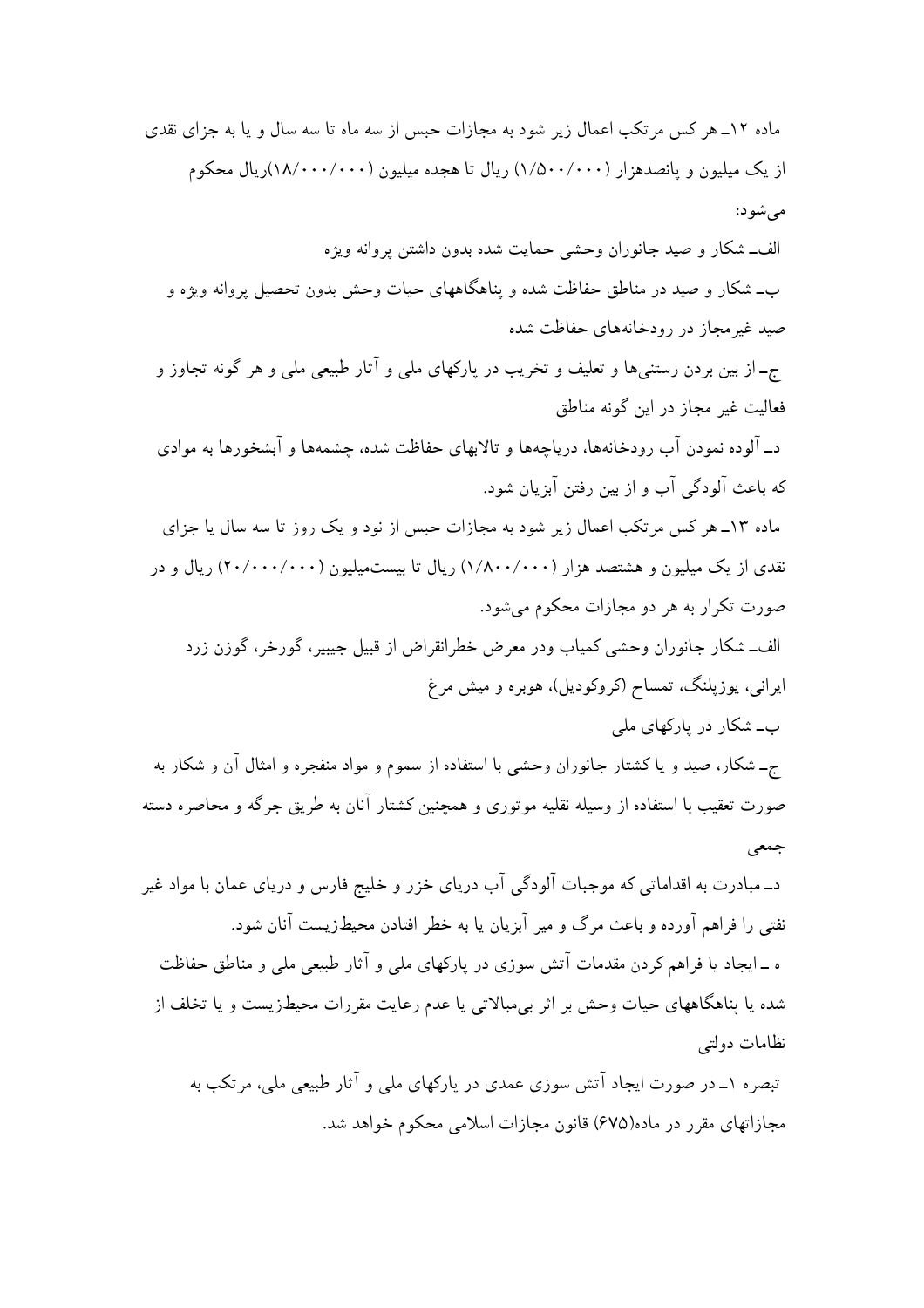ماده ۱۲ـ هر کس مرتکب اعمال زیر شود به مجازات حبس از سه ماه تا سه سال و یا به جزای نقدی از یک میلیون و پانصدهزار (۱٬۵۰۰/۰۰۰) ریال تا هجده میلیون (۱۸/۰۰۰/۰۰۰)ریال محکوم مې شو د: الف\_شکار و صيد جانوران وحشى حمايت شده بدون داشتن پروانه ويژه ب\_ شکار و صید در مناطق حفاظت شده و پناهگاههای حیات وحش بدون تحصیل بروانه ویژه و صید غیرمجاز در رودخانههای حفاظت شده جـ از بين بردن رستنبيها و تعليف و تخريب در ياركهاي ملي و آثار طبيعي ملي و هر گونه تجاوز و فعاليت غير مجاز در اين گونه مناطق د\_ آلوده نمودن آب رودخانهها، دریاچهها و تالابهای حفاظت شده، چشمهها و آبشخورها به موادی که باعث آلودگی آب و از بین رفتن آبزیان شود. ماده ۱۳ـ هر کس مرتکب اعمال زیر شود به مجازات حبس از نود و یک روز تا سه سال یا جزای نقدی از یک میلیون و هشتصد هزار (۱/۸۰۰/۰۰۰) ریال تا بیستمیلیون (۲۰۰۰۰۰۰۰۰۰) ریال و در صورت تکرار به هر دو مجازات محکوم می شود. الف\_شكار جانوران وحشى كمياب ودر معرض خطرانقراض از قبيل جيبير، گورخر، گوزن زرد ایرانی، یوزپلنگ، تمساح (کروکودیل)، هوبره و میش مرغ ب۔شکار در بارکھای ملی ج\_ شکار، صید و یا کشتار جانوران وحشی با استفاده از سموم و مواد منفجره و امثال آن و شکار به صورت تعقیب با استفاده از وسیله نقلیه موتوری و همچنین کشتار آنان به طریق جرگه و محاصره دسته جمعی د\_مبادرت به اقداماتی که موجبات آلودگی آب دریای خزر و خلیج فارس و دریای عمان با مواد غیر نفتی را فراهم آورده و باعث مرگ و میر آبزیان یا به خطر افتادن محیطزیست آنان شود. ه ـ ایجاد یا فراهم کردن مقدمات آتش سوزی در پارکهای ملبی و آثار طبیعی ملبی و مناطق حفاظت شده یا پناهگاههای حیات وحش بر اثر بی مبالاتی یا عدم رعایت مقررات محیطزیست و یا تخلف از نظامات دولتبي تبصره ۱ــ در صورت ایجاد آتش سوزی عمدی در پارکهای ملی و آثار طبیعی ملی، مرتکب به

مجازاتهای مقرر در ماده(۶۷۵) قانون مجازات اسلامی محکوم خواهد شد.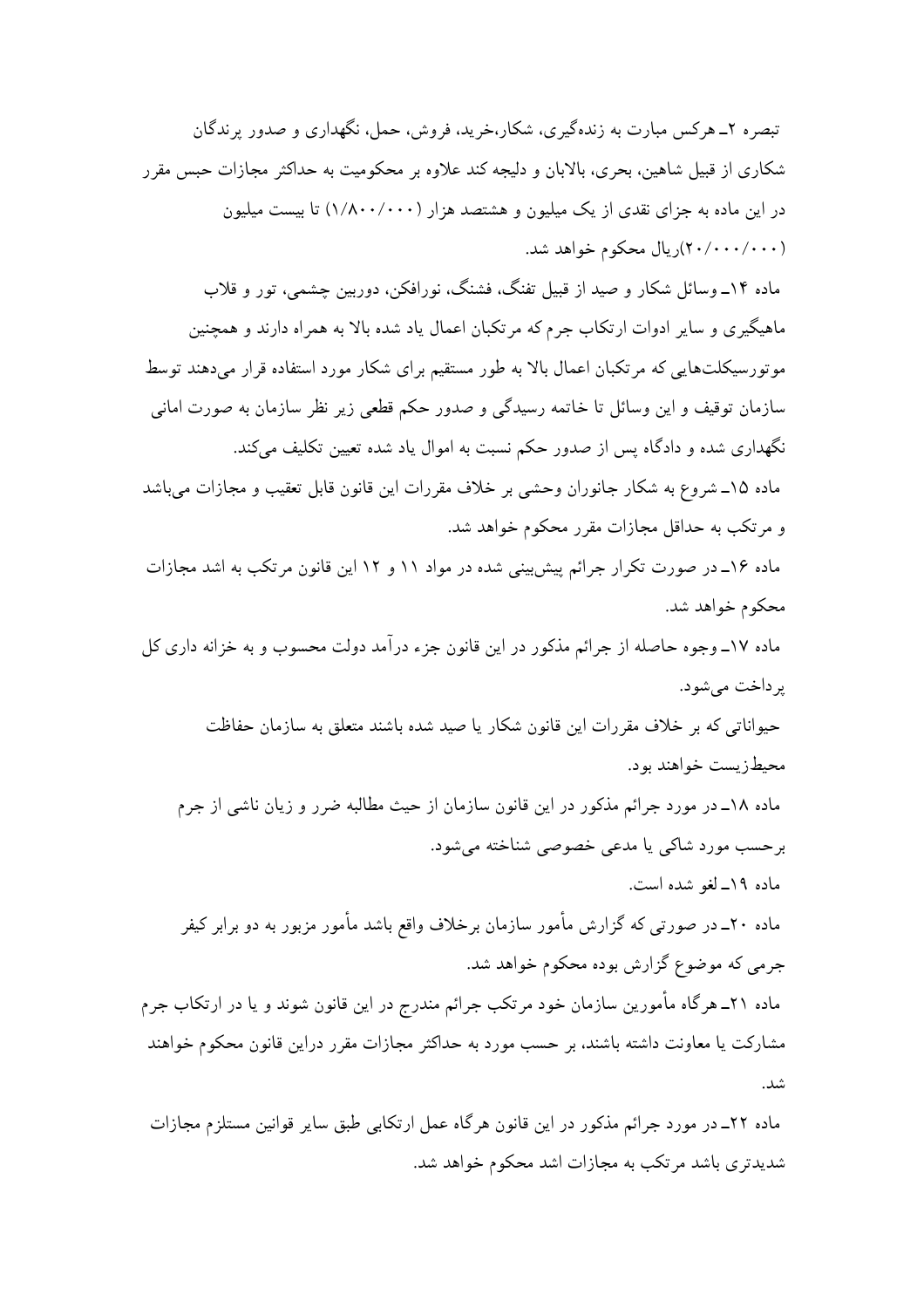تبصره ۲ــ هرکس مبارت به زندهگیری، شکار،خرید، فروش، حمل، نگهداری و صدور پرندگان شکاری از قبیل شاهین، بحری، بالابان و دلیجه کند علاوه بر محکومیت به حداکثر مجازات حبس مقرر در این ماده به جزای نقدی از یک میلیون و هشتصد هزار (۱/۸۰۰/۰۰۰) تا بیست میلیون (۲۰۰۰/۰۰۰)ریال محکوم خواهد شد. ماده ۱۴ـ وسائل شکار و صید از قبیل تفنگ، فشنگ، نورافکن، دوربین جشمی، تور و قلاب

ماهیگیری و سایر ادوات ارتکاب جرم که مرتکبان اعمال یاد شده بالا به همراه دارند و همچنین موتورسیکلتهایی که مرتکبان اعمال بالا به طور مستقیم برای شکار مورد استفاده قرار میدهند توسط سازمان توقیف و این وسائل تا خاتمه رسیدگی و صدور حکم قطعی زیر نظر سازمان به صورت امانی نگهداری شده و دادگاه پس از صدور حکم نسبت به اموال یاد شده تعیین تکلیف میکند.

ماده ۱۵ـ شروع به شكار جانوران وحشى بر خلاف مقررات اين قانون قابل تعقيب و مجازات مىباشد و مرتکب به حداقل مجازات مقرر محکوم خواهد شد.

ماده ۱۶ـ در صورت تکرار جرائم پیش بینی شده در مواد ۱۱ و ۱۲ این قانون مرتکب به اشد مجازات محکوم خواهد شد.

ماده ١٧ــ وجوه حاصله از جرائم مذكور در اين قانون جزء درآمد دولت محسوب و به خزانه داري كل يرداخت مي شود.

حیواناتی که بر خلاف مقررات این قانون شکار یا صید شده باشند متعلق به سازمان حفاظت محيطزيست خواهند بود.

ماده ۱۸ـ در مورد جرائم مذکور در این قانون سازمان از حیث مطالبه ضرر و زیان ناشی از جرم برحسب مورد شاکی یا مدعی خصوصی شناخته می شود. ماده ١٩\_ لغو شده است.

ماده ۲۰ــ در صورتی که گزارش مأمور سازمان برخلاف واقع باشد مأمور مزبور به دو برابر کیفر جرمي كه موضوع گزارش بوده محكوم خواهد شد. ماده ۲۱ـ هرگاه مأمورین سازمان خود مرتکب جرائم مندرج در این قانون شوند و یا در ارتکاب جرم مشارکت یا معاونت داشته باشند، بر حسب مورد به حداکثر مجازات مقرر دراین قانون محکوم خواهند شد.

ماده ۲۲ـ در مورد جرائم مذکور در این قانون هرگاه عمل ارتکابی طبق سایر قوانین مستلزم مجازات شدیدتری باشد مرتکب به مجازات اشد محکوم خواهد شد.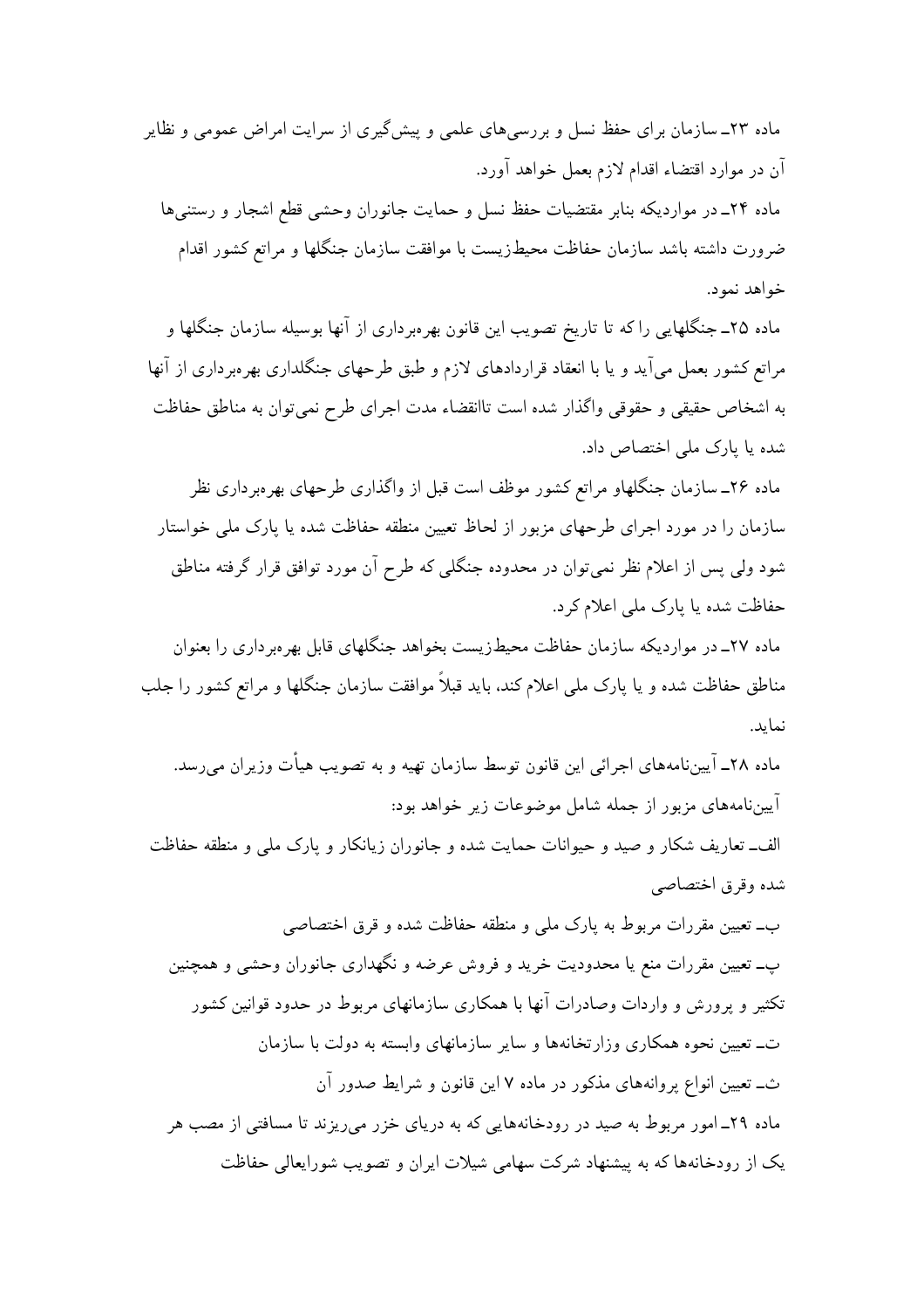ماده ۲۳ـ سازمان برای حفظ نسل و بررسی های علمی و پیش گیری از سرایت امراض عمومی و نظایر آن در موارد اقتضاء اقدام لازم بعمل خواهد آورد. ماده ٢۴ـ در موارديكه بنابر مقتضيات حفظ نسل و حمايت جانوران وحشى قطع اشجار و رستنى ها ضرورت داشته باشد سازمان حفاظت محيطزيست با موافقت سازمان جنگلها و مراتع كشور اقدام خواهد نمود.

ماده ۲۵ـ جنگلهایی را که تا تاریخ تصویب این قانون بهرهبرداری از آنها بوسیله سازمان جنگلها و مراتع کشور بعمل می آید و یا با انعقاد قراردادهای لازم و طبق طرحهای جنگلداری بهرهبر داری از آنها به اشخاص حقيقى و حقوقى واگذار شده است تاانقضاء مدت اجراى طرح نمى توان به مناطق حفاظت شده یا پارک ملی اختصاص داد.

ماده ۲۶ـ سازمان جنگلهاو مراتع کشور موظف است قبل از واگذاری طرحهای بهرهبرداری نظر سازمان را در مورد اجرای طرحهای مزبور از لحاظ تعیین منطقه حفاظت شده یا پارک ملی خواستار شود ولي پس از اعلام نظر نمي توان در محدوده جنگلي كه طرح آن مورد توافق قرار گرفته مناطق حفاظت شده یا پارک ملی اعلام کرد.

ماده ۲۷ـ در مواردیکه سازمان حفاظت محیطزیست بخواهد جنگلهای قابل بهروبرداری را بعنوان مناطق حفاظت شده و یا یارک ملی اعلام کند، باید قبلاً موافقت سازمان جنگلها و مراتع کشور را جلب نمايد.

ماده ۲۸ـ آییننامههای اجرائی این قانون توسط سازمان تهیه و به تصویب هیأت وزیران می رسد. آییننامههای مزبور از جمله شامل موضوعات زیر خواهد بود:

الف\_ تعاریف شکار و صید و حیوانات حمایت شده و جانوران زیانکار و پارک ملی و منطقه حفاظت شده وقرق اختصاصي

ب۔ تعیین مقررات مربوط به پارک ملی و منطقه حفاظت شده و قرق اختصاصی پ\_ تعیین مقررات منع یا محدودیت خرید و فروش عرضه و نگهداری جانوران وحشی و همچنین تکثیر و پرورش و واردات وصادرات آنها با همکاری سازمانهای مربوط در حدود قوانین کشور ت\_ تعیین نحوه همکاری وزارتخانهها و سایر سازمانهای وابسته به دولت با سازمان ث\_ تعیین انواع پروانههای مذکور در ماده ۷ این قانون و شرایط صدور آن ماده ۲۹\_ امور مربوط به صید در رودخانههایی که به دریای خزر می ریزند تا مسافتی از مصب هر یک از رودخانهها که به پیشنهاد شرکت سهامی شیلات ایران و تصویب شورایعالی حفاظت